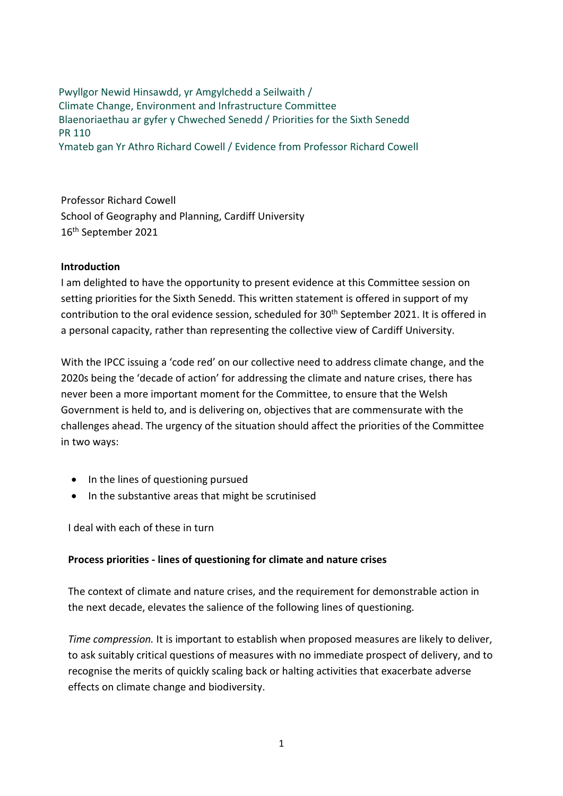Pwyllgor Newid Hinsawdd, yr Amgylchedd a Seilwaith / Climate Change, Environment and Infrastructure Committee Blaenoriaethau ar gyfer y Chweched Senedd / Priorities for the Sixth Senedd PR 110 Ymateb gan Yr Athro Richard Cowell / Evidence from Professor Richard Cowell

Professor Richard Cowell School of Geography and Planning, Cardiff University 16th September 2021

#### **Introduction**

I am delighted to have the opportunity to present evidence at this Committee session on setting priorities for the Sixth Senedd. This written statement is offered in support of my contribution to the oral evidence session, scheduled for 30<sup>th</sup> September 2021. It is offered in a personal capacity, rather than representing the collective view of Cardiff University.

With the IPCC issuing a 'code red' on our collective need to address climate change, and the 2020s being the 'decade of action' for addressing the climate and nature crises, there has never been a more important moment for the Committee, to ensure that the Welsh Government is held to, and is delivering on, objectives that are commensurate with the challenges ahead. The urgency of the situation should affect the priorities of the Committee in two ways:

- In the lines of questioning pursued
- In the substantive areas that might be scrutinised

I deal with each of these in turn

## **Process priorities - lines of questioning for climate and nature crises**

The context of climate and nature crises, and the requirement for demonstrable action in the next decade, elevates the salience of the following lines of questioning.

*Time compression.* It is important to establish when proposed measures are likely to deliver, to ask suitably critical questions of measures with no immediate prospect of delivery, and to recognise the merits of quickly scaling back or halting activities that exacerbate adverse effects on climate change and biodiversity.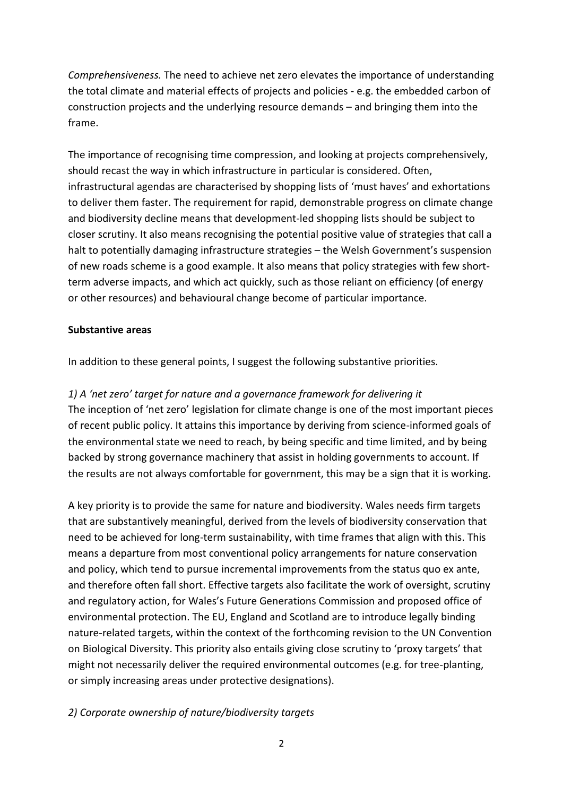*Comprehensiveness.* The need to achieve net zero elevates the importance of understanding the total climate and material effects of projects and policies - e.g. the embedded carbon of construction projects and the underlying resource demands – and bringing them into the frame.

The importance of recognising time compression, and looking at projects comprehensively, should recast the way in which infrastructure in particular is considered. Often, infrastructural agendas are characterised by shopping lists of 'must haves' and exhortations to deliver them faster. The requirement for rapid, demonstrable progress on climate change and biodiversity decline means that development-led shopping lists should be subject to closer scrutiny. It also means recognising the potential positive value of strategies that call a halt to potentially damaging infrastructure strategies – the Welsh Government's suspension of new roads scheme is a good example. It also means that policy strategies with few shortterm adverse impacts, and which act quickly, such as those reliant on efficiency (of energy or other resources) and behavioural change become of particular importance.

#### **Substantive areas**

In addition to these general points, I suggest the following substantive priorities.

## *1) A 'net zero' target for nature and a governance framework for delivering it*

The inception of 'net zero' legislation for climate change is one of the most important pieces of recent public policy. It attains this importance by deriving from science-informed goals of the environmental state we need to reach, by being specific and time limited, and by being backed by strong governance machinery that assist in holding governments to account. If the results are not always comfortable for government, this may be a sign that it is working.

A key priority is to provide the same for nature and biodiversity. Wales needs firm targets that are substantively meaningful, derived from the levels of biodiversity conservation that need to be achieved for long-term sustainability, with time frames that align with this. This means a departure from most conventional policy arrangements for nature conservation and policy, which tend to pursue incremental improvements from the status quo ex ante, and therefore often fall short. Effective targets also facilitate the work of oversight, scrutiny and regulatory action, for Wales's Future Generations Commission and proposed office of environmental protection. The EU, England and Scotland are to introduce legally binding nature-related targets, within the context of the forthcoming revision to the UN Convention on Biological Diversity. This priority also entails giving close scrutiny to 'proxy targets' that might not necessarily deliver the required environmental outcomes (e.g. for tree-planting, or simply increasing areas under protective designations).

## *2) Corporate ownership of nature/biodiversity targets*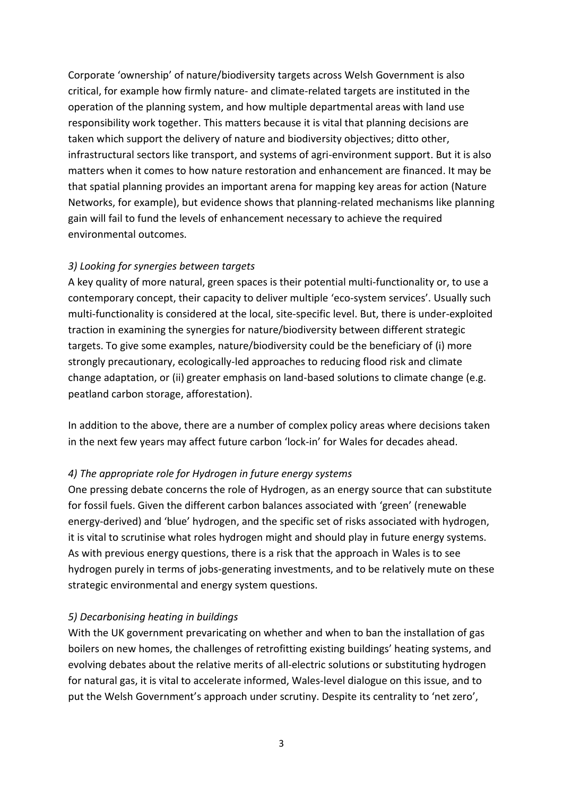Corporate 'ownership' of nature/biodiversity targets across Welsh Government is also critical, for example how firmly nature- and climate-related targets are instituted in the operation of the planning system, and how multiple departmental areas with land use responsibility work together. This matters because it is vital that planning decisions are taken which support the delivery of nature and biodiversity objectives; ditto other, infrastructural sectors like transport, and systems of agri-environment support. But it is also matters when it comes to how nature restoration and enhancement are financed. It may be that spatial planning provides an important arena for mapping key areas for action (Nature Networks, for example), but evidence shows that planning-related mechanisms like planning gain will fail to fund the levels of enhancement necessary to achieve the required environmental outcomes.

## *3) Looking for synergies between targets*

A key quality of more natural, green spaces is their potential multi-functionality or, to use a contemporary concept, their capacity to deliver multiple 'eco-system services'. Usually such multi-functionality is considered at the local, site-specific level. But, there is under-exploited traction in examining the synergies for nature/biodiversity between different strategic targets. To give some examples, nature/biodiversity could be the beneficiary of (i) more strongly precautionary, ecologically-led approaches to reducing flood risk and climate change adaptation, or (ii) greater emphasis on land-based solutions to climate change (e.g. peatland carbon storage, afforestation).

In addition to the above, there are a number of complex policy areas where decisions taken in the next few years may affect future carbon 'lock-in' for Wales for decades ahead.

## *4) The appropriate role for Hydrogen in future energy systems*

One pressing debate concerns the role of Hydrogen, as an energy source that can substitute for fossil fuels. Given the different carbon balances associated with 'green' (renewable energy-derived) and 'blue' hydrogen, and the specific set of risks associated with hydrogen, it is vital to scrutinise what roles hydrogen might and should play in future energy systems. As with previous energy questions, there is a risk that the approach in Wales is to see hydrogen purely in terms of jobs-generating investments, and to be relatively mute on these strategic environmental and energy system questions.

## *5) Decarbonising heating in buildings*

With the UK government prevaricating on whether and when to ban the installation of gas boilers on new homes, the challenges of retrofitting existing buildings' heating systems, and evolving debates about the relative merits of all-electric solutions or substituting hydrogen for natural gas, it is vital to accelerate informed, Wales-level dialogue on this issue, and to put the Welsh Government's approach under scrutiny. Despite its centrality to 'net zero',